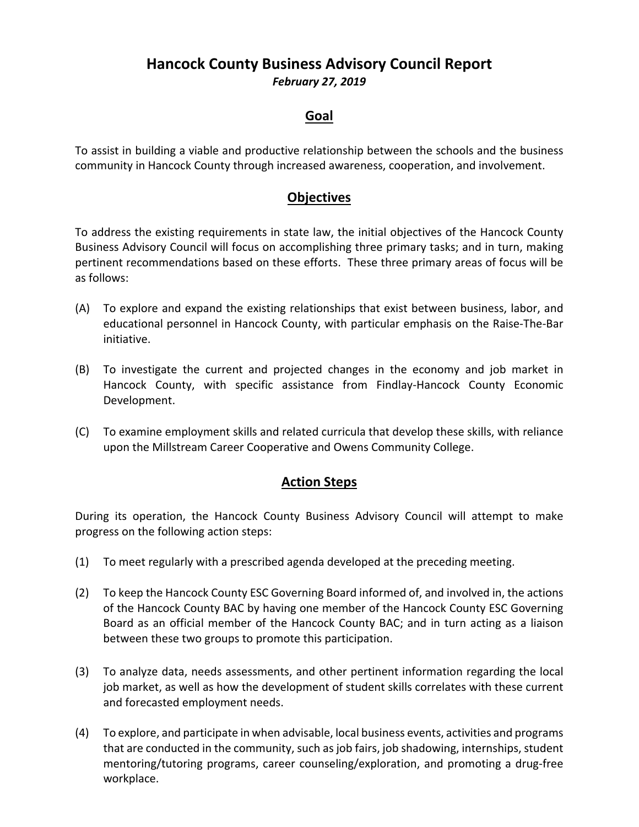# **Hancock County Business Advisory Council Report**  *February 27, 2019*

#### **Goal**

To assist in building a viable and productive relationship between the schools and the business community in Hancock County through increased awareness, cooperation, and involvement.

#### **Objectives**

To address the existing requirements in state law, the initial objectives of the Hancock County Business Advisory Council will focus on accomplishing three primary tasks; and in turn, making pertinent recommendations based on these efforts. These three primary areas of focus will be as follows:

- (A) To explore and expand the existing relationships that exist between business, labor, and educational personnel in Hancock County, with particular emphasis on the Raise‐The‐Bar initiative.
- (B) To investigate the current and projected changes in the economy and job market in Hancock County, with specific assistance from Findlay‐Hancock County Economic Development.
- (C) To examine employment skills and related curricula that develop these skills, with reliance upon the Millstream Career Cooperative and Owens Community College.

#### **Action Steps**

During its operation, the Hancock County Business Advisory Council will attempt to make progress on the following action steps:

- (1) To meet regularly with a prescribed agenda developed at the preceding meeting.
- (2) To keep the Hancock County ESC Governing Board informed of, and involved in, the actions of the Hancock County BAC by having one member of the Hancock County ESC Governing Board as an official member of the Hancock County BAC; and in turn acting as a liaison between these two groups to promote this participation.
- (3) To analyze data, needs assessments, and other pertinent information regarding the local job market, as well as how the development of student skills correlates with these current and forecasted employment needs.
- (4) To explore, and participate in when advisable, local business events, activities and programs that are conducted in the community, such as job fairs, job shadowing, internships, student mentoring/tutoring programs, career counseling/exploration, and promoting a drug‐free workplace.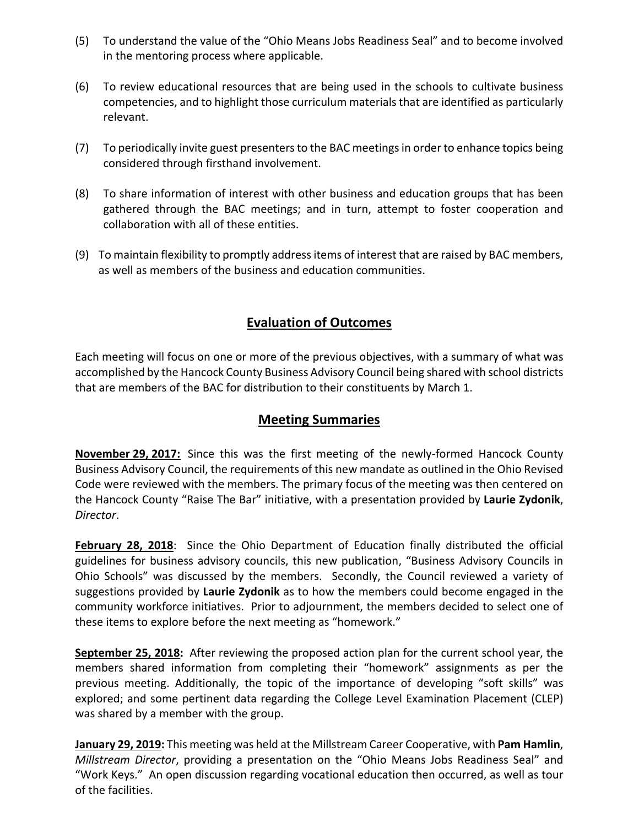- (5) To understand the value of the "Ohio Means Jobs Readiness Seal" and to become involved in the mentoring process where applicable.
- (6) To review educational resources that are being used in the schools to cultivate business competencies, and to highlight those curriculum materials that are identified as particularly relevant.
- (7) To periodically invite guest presenters to the BAC meetings in order to enhance topics being considered through firsthand involvement.
- (8) To share information of interest with other business and education groups that has been gathered through the BAC meetings; and in turn, attempt to foster cooperation and collaboration with all of these entities.
- (9) To maintain flexibility to promptly address items of interest that are raised by BAC members, as well as members of the business and education communities.

## **Evaluation of Outcomes**

Each meeting will focus on one or more of the previous objectives, with a summary of what was accomplished by the Hancock County Business Advisory Council being shared with school districts that are members of the BAC for distribution to their constituents by March 1.

### **Meeting Summaries**

**November 29, 2017:** Since this was the first meeting of the newly-formed Hancock County Business Advisory Council, the requirements of this new mandate as outlined in the Ohio Revised Code were reviewed with the members. The primary focus of the meeting was then centered on the Hancock County "Raise The Bar" initiative, with a presentation provided by **Laurie Zydonik**, *Director*.

**February 28, 2018**: Since the Ohio Department of Education finally distributed the official guidelines for business advisory councils, this new publication, "Business Advisory Councils in Ohio Schools" was discussed by the members. Secondly, the Council reviewed a variety of suggestions provided by **Laurie Zydonik** as to how the members could become engaged in the community workforce initiatives. Prior to adjournment, the members decided to select one of these items to explore before the next meeting as "homework."

**September 25, 2018:** After reviewing the proposed action plan for the current school year, the members shared information from completing their "homework" assignments as per the previous meeting. Additionally, the topic of the importance of developing "soft skills" was explored; and some pertinent data regarding the College Level Examination Placement (CLEP) was shared by a member with the group.

**January 29, 2019:** This meeting was held at the Millstream Career Cooperative, with **Pam Hamlin**, *Millstream Director*, providing a presentation on the "Ohio Means Jobs Readiness Seal" and "Work Keys." An open discussion regarding vocational education then occurred, as well as tour of the facilities.